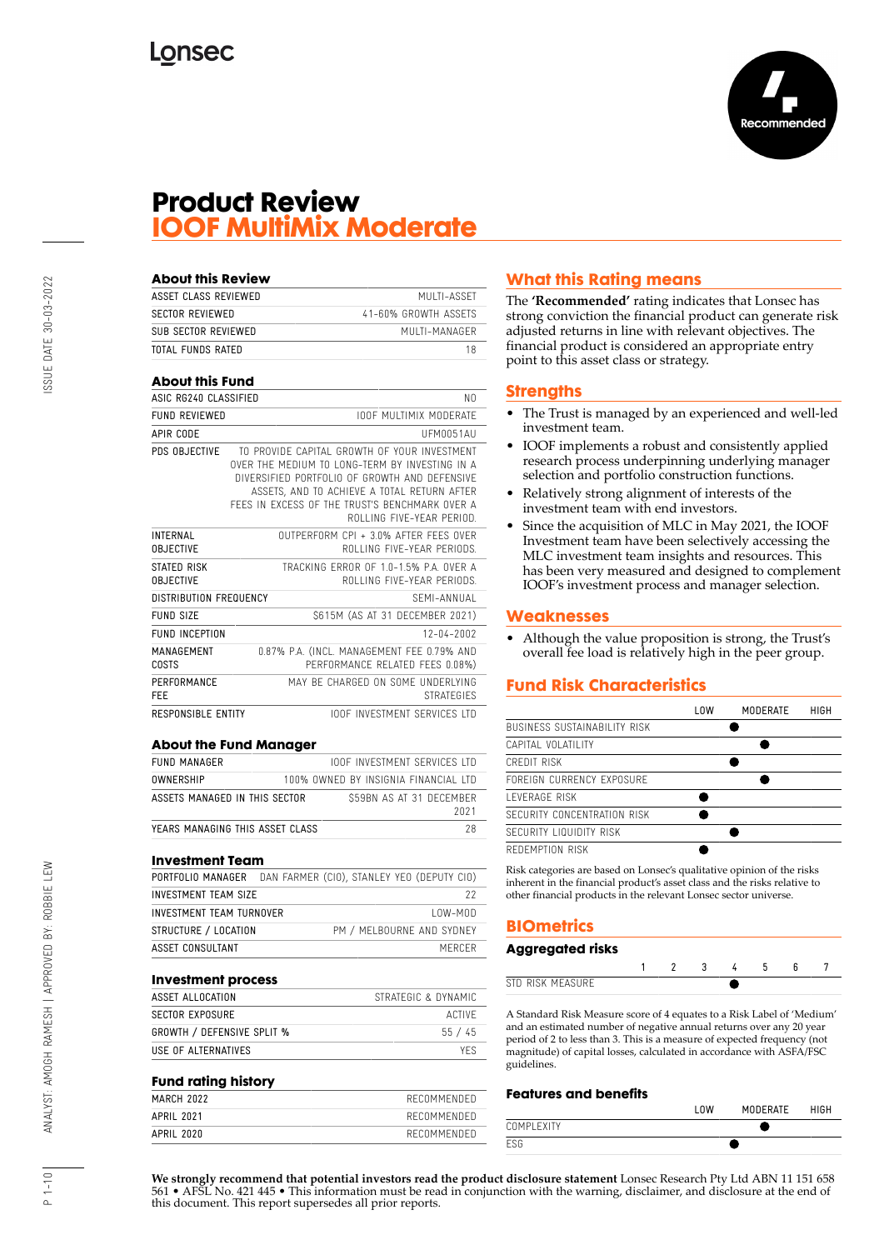

## **Product Review IOOF MultiMix Moderate**

| <b>About this Review</b>               |                                                                                                                                                                                                                                                                               |    |
|----------------------------------------|-------------------------------------------------------------------------------------------------------------------------------------------------------------------------------------------------------------------------------------------------------------------------------|----|
| ASSET CLASS REVIEWED                   | MULTI-ASSET                                                                                                                                                                                                                                                                   |    |
| <b>SECTOR REVIEWED</b>                 | 41-60% GROWTH ASSETS                                                                                                                                                                                                                                                          |    |
| SUB SECTOR REVIEWED                    | MIJI TI-MANAGER                                                                                                                                                                                                                                                               |    |
| TOTAL FUNDS RATED                      |                                                                                                                                                                                                                                                                               | 18 |
| <b>About this Fund</b>                 |                                                                                                                                                                                                                                                                               |    |
| ASIC RG240 CLASSIFIED                  |                                                                                                                                                                                                                                                                               | NΩ |
| <b>FUND REVIEWED</b>                   | <b>IOOF MULTIMIX MODERATE</b>                                                                                                                                                                                                                                                 |    |
| APIR CODE                              | UFM0051AU                                                                                                                                                                                                                                                                     |    |
| PDS OBJECTIVE                          | TO PROVIDE CAPITAL GROWTH OF YOUR INVESTMENT<br>OVER THE MEDIUM TO LONG-TERM BY INVESTING IN A<br>DIVERSIFIED PORTFOLIO OF GROWTH AND DEFENSIVE<br>ASSETS, AND TO ACHIEVE A TOTAL RETURN AFTER<br>FFFS IN FXCFSS OF THE TRUST'S BENCHMARK OVER A<br>ROLLING FIVE-YEAR PERIOD. |    |
| <b>INTERNAL</b><br><b>OBJECTIVE</b>    | OUTPERFORM CPL + 3.0% AFTER FFFS OVER<br>ROLLING FIVE-YEAR PERIODS.                                                                                                                                                                                                           |    |
| <b>STATED RISK</b><br><b>OBJECTIVE</b> | TRACKING FRROR OF 10-15% PA OVER A<br>ROLLING FIVE-YEAR PERIODS                                                                                                                                                                                                               |    |
| <b>DISTRIBUTION FREQUENCY</b>          | SEMI-ANNIJAI                                                                                                                                                                                                                                                                  |    |
| FUND SIZE                              | \$615M (AS AT 31 DECEMBER 2021)                                                                                                                                                                                                                                               |    |
| FUND INCEPTION                         | $12 - 04 - 2002$                                                                                                                                                                                                                                                              |    |
| MANAGEMENT<br>COSTS                    | 0.87% P.A. (INCL. MANAGEMENT FEE 0.79% AND<br>PERFORMANCE RELATED FEES 0.08%)                                                                                                                                                                                                 |    |
| PERFORMANCE<br><b>FFF</b>              | MAY BF CHARGED ON SOME UNDERLYING<br><b>STRATEGIES</b>                                                                                                                                                                                                                        |    |
| <b>RESPONSIBLE ENTITY</b>              | <b>IOOF INVESTMENT SERVICES ITD</b>                                                                                                                                                                                                                                           |    |

#### **About the Fund Manager**

| <b>FUND MANAGER</b>             | <b>IOOF INVESTMENT SERVICES LTD</b>  |      |
|---------------------------------|--------------------------------------|------|
| OWNFRSHIP                       | 100% OWNED BY INSIGNIA FINANCIAL LTD |      |
| ASSETS MANAGED IN THIS SECTOR   | S59BN AS AT 31 DECEMBER              | 2021 |
| YEARS MANAGING THIS ASSET CLASS |                                      |      |

#### **Investment Team**

| PORTFOLIO MANAGER DAN FARMER (CIO), STANLEY YEO (DEPUTY CIO) |                           |           |
|--------------------------------------------------------------|---------------------------|-----------|
| INVESTMENT TEAM SIZE                                         |                           | 22        |
| INVESTMENT TEAM TURNOVER                                     |                           | $10W-M0D$ |
| STRUCTURE / LOCATION                                         | PM / MELBOURNE AND SYDNEY |           |
| ASSET CONSULTANT                                             |                           | MERCER    |

#### **Investment process**

| ASSET ALLOCATION           | STRATEGIC & DYNAMIC |
|----------------------------|---------------------|
| SECTOR EXPOSURE            | ACTIVE              |
| GROWTH / DEFENSIVE SPLIT % | 55/45               |
| USE OF ALTERNATIVES        | YFS.                |

#### **Fund rating history**

| . .        |             |
|------------|-------------|
| MARCH 2022 | RECOMMENDED |
| APRIL 2021 | RECOMMENDED |
| APRIL 2020 | RECOMMENDED |

## **What this Rating means**

The **'Recommended'** rating indicates that Lonsec has strong conviction the financial product can generate risk adjusted returns in line with relevant objectives. The financial product is considered an appropriate entry point to this asset class or strategy.

#### **Strengths**

- The Trust is managed by an experienced and well-led investment team.
- IOOF implements a robust and consistently applied research process underpinning underlying manager selection and portfolio construction functions.
- Relatively strong alignment of interests of the investment team with end investors.
- Since the acquisition of MLC in May 2021, the IOOF Investment team have been selectively accessing the MLC investment team insights and resources. This has been very measured and designed to complement IOOF's investment process and manager selection.

#### **Weaknesses**

• Although the value proposition is strong, the Trust's overall fee load is relatively high in the peer group.

## **Fund Risk Characteristics**

|                              | l OW | MODERATE | HIGH |
|------------------------------|------|----------|------|
| BUSINESS SUSTAINABILITY RISK |      |          |      |
| CAPITAL VOLATILITY           |      |          |      |
| CREDIT RISK                  |      |          |      |
| FORFIGN CURRENCY EXPOSURE    |      |          |      |
| I FVFRAGF RISK               |      |          |      |
| SECURITY CONCENTRATION RISK  |      |          |      |
| SECURITY LIQUIDITY RISK      |      |          |      |
| REDEMPTION RISK              |      |          |      |

Risk categories are based on Lonsec's qualitative opinion of the risks inherent in the financial product's asset class and the risks relative to other financial products in the relevant Lonsec sector universe.

## **BIOmetrics**

| Aggregated risks |  |  |  |  |
|------------------|--|--|--|--|
|                  |  |  |  |  |
| STD RISK MEASURE |  |  |  |  |

A Standard Risk Measure score of 4 equates to a Risk Label of 'Medium' and an estimated number of negative annual returns over any 20 year period of 2 to less than 3. This is a measure of expected frequency (not magnitude) of capital losses, calculated in accordance with ASFA/FSC guidelines.

#### **Features and benefits**

|            | ' UM | <b>MODERATE</b> | <b>HIGH</b> |
|------------|------|-----------------|-------------|
| COMPLEXITY |      |                 |             |
| ESG        |      |                 |             |

**We strongly recommend that potential investors read the product disclosure statement** Lonsec Research Pty Ltd ABN 11 151 658 561 • AFSL No. 421 445 • This information must be read in conjunction with the warning, disclaimer, and disclosure at the end of this document. This report supersedes all prior reports.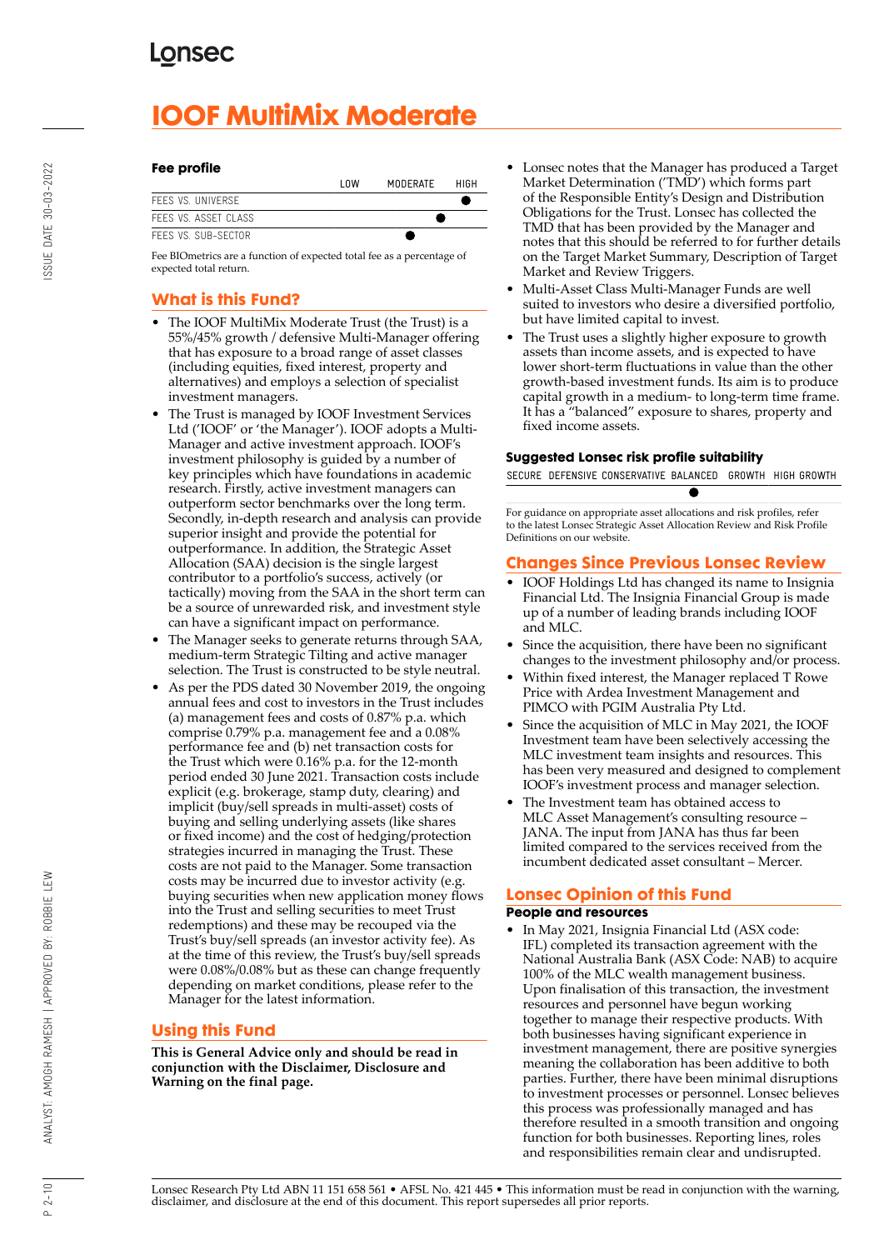# **IOOF MultiMix Moderate**

#### **Fee profile**

|                      | l OW | MODERATE | HIGH |
|----------------------|------|----------|------|
| FFFS VS. UNIVERSE    |      |          |      |
| FFFS VS. ASSFT CLASS |      |          |      |
| FFFS VS. SUB-SFCTOR. |      |          |      |

Fee BIOmetrics are a function of expected total fee as a percentage of expected total return.

## **What is this Fund?**

- The IOOF MultiMix Moderate Trust (the Trust) is a 55%/45% growth / defensive Multi-Manager offering that has exposure to a broad range of asset classes (including equities, fixed interest, property and alternatives) and employs a selection of specialist investment managers.
- The Trust is managed by IOOF Investment Services Ltd ('IOOF' or 'the Manager'). IOOF adopts a Multi-Manager and active investment approach. IOOF's investment philosophy is guided by a number of key principles which have foundations in academic research. Firstly, active investment managers can outperform sector benchmarks over the long term. Secondly, in-depth research and analysis can provide superior insight and provide the potential for outperformance. In addition, the Strategic Asset Allocation (SAA) decision is the single largest contributor to a portfolio's success, actively (or tactically) moving from the SAA in the short term can be a source of unrewarded risk, and investment style can have a significant impact on performance.
- The Manager seeks to generate returns through SAA, medium-term Strategic Tilting and active manager selection. The Trust is constructed to be style neutral.
- As per the PDS dated 30 November 2019, the ongoing annual fees and cost to investors in the Trust includes (a) management fees and costs of 0.87% p.a. which comprise 0.79% p.a. management fee and a 0.08% performance fee and (b) net transaction costs for the Trust which were 0.16% p.a. for the 12-month period ended 30 June 2021. Transaction costs include explicit (e.g. brokerage, stamp duty, clearing) and implicit (buy/sell spreads in multi-asset) costs of buying and selling underlying assets (like shares or fixed income) and the cost of hedging/protection strategies incurred in managing the Trust. These costs are not paid to the Manager. Some transaction costs may be incurred due to investor activity (e.g. buying securities when new application money flows into the Trust and selling securities to meet Trust redemptions) and these may be recouped via the Trust's buy/sell spreads (an investor activity fee). As at the time of this review, the Trust's buy/sell spreads were 0.08%/0.08% but as these can change frequently depending on market conditions, please refer to the Manager for the latest information.

## **Using this Fund**

**This is General Advice only and should be read in conjunction with the Disclaimer, Disclosure and Warning on the final page.**

- Lonsec notes that the Manager has produced a Target Market Determination ('TMD') which forms part of the Responsible Entity's Design and Distribution Obligations for the Trust. Lonsec has collected the TMD that has been provided by the Manager and notes that this should be referred to for further details on the Target Market Summary, Description of Target Market and Review Triggers.
- Multi-Asset Class Multi-Manager Funds are well suited to investors who desire a diversified portfolio, but have limited capital to invest.
- The Trust uses a slightly higher exposure to growth assets than income assets, and is expected to have lower short-term fluctuations in value than the other growth-based investment funds. Its aim is to produce capital growth in a medium- to long-term time frame. It has a "balanced" exposure to shares, property and fixed income assets.

## **Suggested Lonsec risk profile suitability**

SECURE DEFENSIVE CONSERVATIVE BALANCED GROWTH HIGH GROWTH

e

For guidance on appropriate asset allocations and risk profiles, refer to the latest Lonsec Strategic Asset Allocation Review and Risk Profile Definitions on our website.

## **Changes Since Previous Lonsec Review**

- IOOF Holdings Ltd has changed its name to Insignia Financial Ltd. The Insignia Financial Group is made up of a number of leading brands including IOOF and MLC.
- Since the acquisition, there have been no significant changes to the investment philosophy and/or process.
- Within fixed interest, the Manager replaced T Rowe Price with Ardea Investment Management and PIMCO with PGIM Australia Pty Ltd.
- Since the acquisition of MLC in May 2021, the IOOF Investment team have been selectively accessing the MLC investment team insights and resources. This has been very measured and designed to complement IOOF's investment process and manager selection.
- The Investment team has obtained access to MLC Asset Management's consulting resource – JANA. The input from JANA has thus far been limited compared to the services received from the incumbent dedicated asset consultant – Mercer.

## **Lonsec Opinion of this Fund**

## **People and resources**

• In May 2021, Insignia Financial Ltd (ASX code: IFL) completed its transaction agreement with the National Australia Bank (ASX Code: NAB) to acquire 100% of the MLC wealth management business. Upon finalisation of this transaction, the investment resources and personnel have begun working together to manage their respective products. With both businesses having significant experience in investment management, there are positive synergies meaning the collaboration has been additive to both parties. Further, there have been minimal disruptions to investment processes or personnel. Lonsec believes this process was professionally managed and has therefore resulted in a smooth transition and ongoing function for both businesses. Reporting lines, roles and responsibilities remain clear and undisrupted.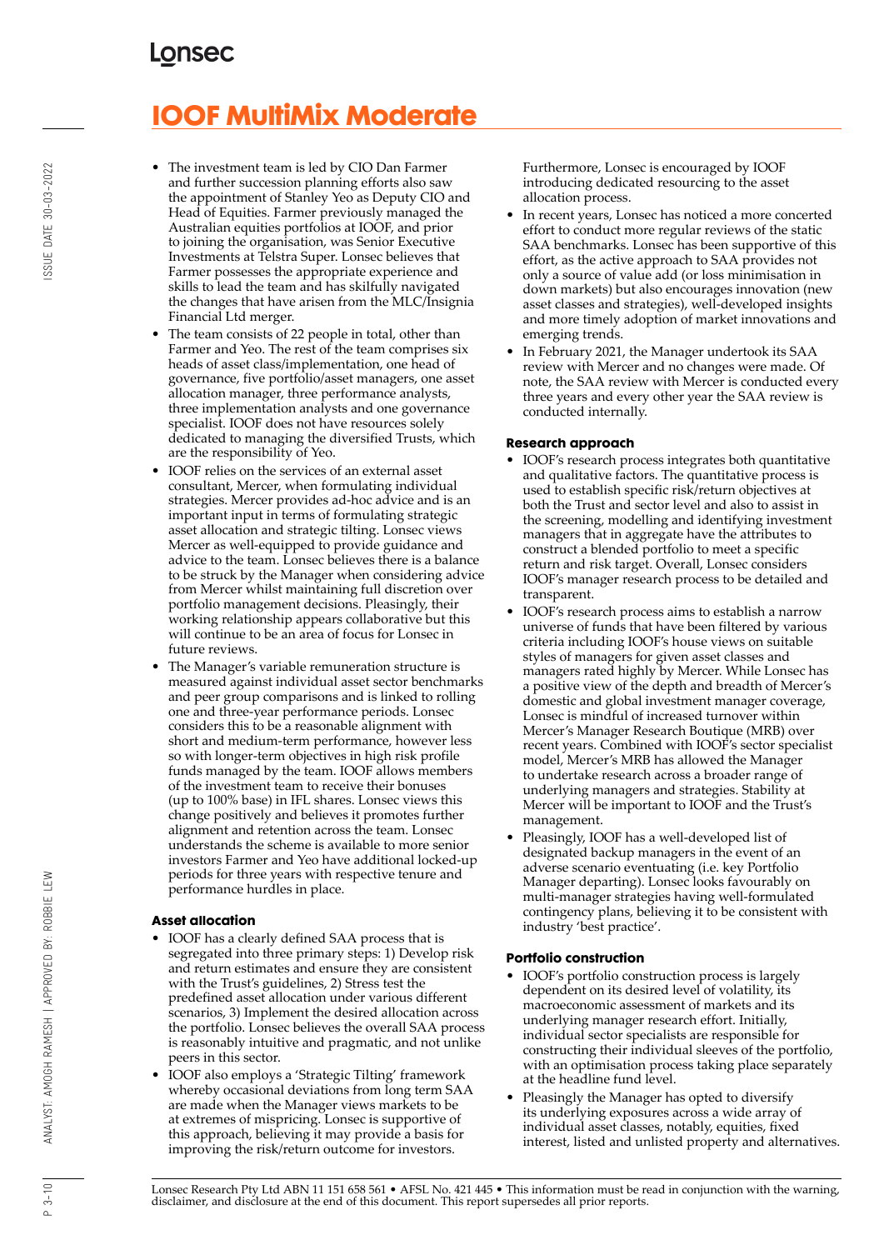# **IOOF MultiMix Moderate**

- The investment team is led by CIO Dan Farmer and further succession planning efforts also saw the appointment of Stanley Yeo as Deputy CIO and Head of Equities. Farmer previously managed the Australian equities portfolios at IOOF, and prior to joining the organisation, was Senior Executive Investments at Telstra Super. Lonsec believes that Farmer possesses the appropriate experience and skills to lead the team and has skilfully navigated the changes that have arisen from the MLC/Insignia Financial Ltd merger.
- The team consists of 22 people in total, other than Farmer and Yeo. The rest of the team comprises six heads of asset class/implementation, one head of governance, five portfolio/asset managers, one asset allocation manager, three performance analysts, three implementation analysts and one governance specialist. IOOF does not have resources solely dedicated to managing the diversified Trusts, which are the responsibility of Yeo.
- IOOF relies on the services of an external asset consultant, Mercer, when formulating individual strategies. Mercer provides ad-hoc advice and is an important input in terms of formulating strategic asset allocation and strategic tilting. Lonsec views Mercer as well-equipped to provide guidance and advice to the team. Lonsec believes there is a balance to be struck by the Manager when considering advice from Mercer whilst maintaining full discretion over portfolio management decisions. Pleasingly, their working relationship appears collaborative but this will continue to be an area of focus for Lonsec in future reviews.
- The Manager's variable remuneration structure is measured against individual asset sector benchmarks and peer group comparisons and is linked to rolling one and three-year performance periods. Lonsec considers this to be a reasonable alignment with short and medium-term performance, however less so with longer-term objectives in high risk profile funds managed by the team. IOOF allows members of the investment team to receive their bonuses (up to 100% base) in IFL shares. Lonsec views this change positively and believes it promotes further alignment and retention across the team. Lonsec understands the scheme is available to more senior investors Farmer and Yeo have additional locked-up periods for three years with respective tenure and performance hurdles in place.

## **Asset allocation**

- IOOF has a clearly defined SAA process that is segregated into three primary steps: 1) Develop risk and return estimates and ensure they are consistent with the Trust's guidelines, 2) Stress test the predefined asset allocation under various different scenarios, 3) Implement the desired allocation across the portfolio. Lonsec believes the overall SAA process is reasonably intuitive and pragmatic, and not unlike peers in this sector.
- IOOF also employs a 'Strategic Tilting' framework whereby occasional deviations from long term SAA are made when the Manager views markets to be at extremes of mispricing. Lonsec is supportive of this approach, believing it may provide a basis for improving the risk/return outcome for investors.

Furthermore, Lonsec is encouraged by IOOF introducing dedicated resourcing to the asset allocation process.

- In recent years, Lonsec has noticed a more concerted effort to conduct more regular reviews of the static SAA benchmarks. Lonsec has been supportive of this effort, as the active approach to SAA provides not only a source of value add (or loss minimisation in down markets) but also encourages innovation (new asset classes and strategies), well-developed insights and more timely adoption of market innovations and emerging trends.
- In February 2021, the Manager undertook its SAA review with Mercer and no changes were made. Of note, the SAA review with Mercer is conducted every three years and every other year the SAA review is conducted internally.

### **Research approach**

- IOOF's research process integrates both quantitative and qualitative factors. The quantitative process is used to establish specific risk/return objectives at both the Trust and sector level and also to assist in the screening, modelling and identifying investment managers that in aggregate have the attributes to construct a blended portfolio to meet a specific return and risk target. Overall, Lonsec considers IOOF's manager research process to be detailed and transparent.
- IOOF's research process aims to establish a narrow universe of funds that have been filtered by various criteria including IOOF's house views on suitable styles of managers for given asset classes and managers rated highly by Mercer. While Lonsec has a positive view of the depth and breadth of Mercer's domestic and global investment manager coverage, Lonsec is mindful of increased turnover within Mercer's Manager Research Boutique (MRB) over recent years. Combined with IOOF's sector specialist model, Mercer's MRB has allowed the Manager to undertake research across a broader range of underlying managers and strategies. Stability at Mercer will be important to IOOF and the Trust's management.
- Pleasingly, IOOF has a well-developed list of designated backup managers in the event of an adverse scenario eventuating (i.e. key Portfolio Manager departing). Lonsec looks favourably on multi-manager strategies having well-formulated contingency plans, believing it to be consistent with industry 'best practice'.

## **Portfolio construction**

- IOOF's portfolio construction process is largely dependent on its desired level of volatility, its macroeconomic assessment of markets and its underlying manager research effort. Initially, individual sector specialists are responsible for constructing their individual sleeves of the portfolio, with an optimisation process taking place separately at the headline fund level.
- Pleasingly the Manager has opted to diversify its underlying exposures across a wide array of individual asset classes, notably, equities, fixed interest, listed and unlisted property and alternatives.

 $P_3 - 10$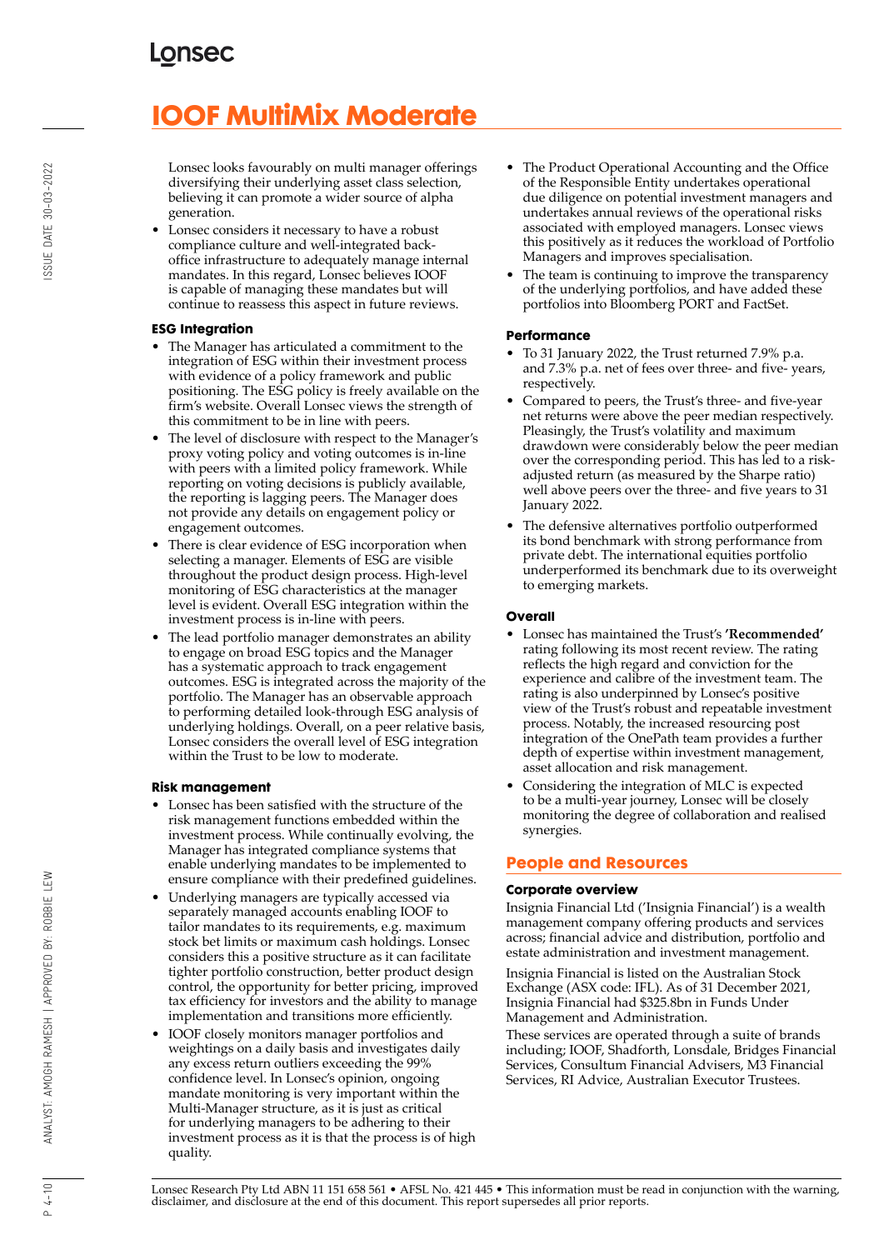# **IOOF MultiMix Moderate**

Lonsec looks favourably on multi manager offerings diversifying their underlying asset class selection, believing it can promote a wider source of alpha generation.

• Lonsec considers it necessary to have a robust compliance culture and well-integrated backoffice infrastructure to adequately manage internal mandates. In this regard, Lonsec believes IOOF is capable of managing these mandates but will continue to reassess this aspect in future reviews.

### **ESG Integration**

- The Manager has articulated a commitment to the integration of ESG within their investment process with evidence of a policy framework and public positioning. The ESG policy is freely available on the firm's website. Overall Lonsec views the strength of this commitment to be in line with peers.
- The level of disclosure with respect to the Manager's proxy voting policy and voting outcomes is in-line with peers with a limited policy framework. While reporting on voting decisions is publicly available, the reporting is lagging peers. The Manager does not provide any details on engagement policy or engagement outcomes.
- There is clear evidence of ESG incorporation when selecting a manager. Elements of ESG are visible throughout the product design process. High-level monitoring of ESG characteristics at the manager level is evident. Overall ESG integration within the investment process is in-line with peers.
- The lead portfolio manager demonstrates an ability to engage on broad ESG topics and the Manager has a systematic approach to track engagement outcomes. ESG is integrated across the majority of the portfolio. The Manager has an observable approach to performing detailed look-through ESG analysis of underlying holdings. Overall, on a peer relative basis, Lonsec considers the overall level of ESG integration within the Trust to be low to moderate.

#### **Risk management**

- Lonsec has been satisfied with the structure of the risk management functions embedded within the investment process. While continually evolving, the Manager has integrated compliance systems that enable underlying mandates to be implemented to ensure compliance with their predefined guidelines.
- Underlying managers are typically accessed via separately managed accounts enabling IOOF to tailor mandates to its requirements, e.g. maximum stock bet limits or maximum cash holdings. Lonsec considers this a positive structure as it can facilitate tighter portfolio construction, better product design control, the opportunity for better pricing, improved tax efficiency for investors and the ability to manage implementation and transitions more efficiently.
- IOOF closely monitors manager portfolios and weightings on a daily basis and investigates daily any excess return outliers exceeding the 99% confidence level. In Lonsec's opinion, ongoing mandate monitoring is very important within the Multi-Manager structure, as it is just as critical for underlying managers to be adhering to their investment process as it is that the process is of high quality.
- The Product Operational Accounting and the Office of the Responsible Entity undertakes operational due diligence on potential investment managers and undertakes annual reviews of the operational risks associated with employed managers. Lonsec views this positively as it reduces the workload of Portfolio Managers and improves specialisation.
- The team is continuing to improve the transparency of the underlying portfolios, and have added these portfolios into Bloomberg PORT and FactSet.

## **Performance**

- To 31 January 2022, the Trust returned 7.9% p.a. and 7.3% p.a. net of fees over three- and five- years, respectively.
- Compared to peers, the Trust's three- and five-year net returns were above the peer median respectively. Pleasingly, the Trust's volatility and maximum drawdown were considerably below the peer median over the corresponding period. This has led to a riskadjusted return (as measured by the Sharpe ratio) well above peers over the three- and five years to 31 January 2022.
- The defensive alternatives portfolio outperformed its bond benchmark with strong performance from private debt. The international equities portfolio underperformed its benchmark due to its overweight to emerging markets.

### **Overall**

- Lonsec has maintained the Trust's **'Recommended'** rating following its most recent review. The rating reflects the high regard and conviction for the experience and calibre of the investment team. The rating is also underpinned by Lonsec's positive view of the Trust's robust and repeatable investment process. Notably, the increased resourcing post integration of the OnePath team provides a further depth of expertise within investment management, asset allocation and risk management.
- Considering the integration of MLC is expected to be a multi-year journey, Lonsec will be closely monitoring the degree of collaboration and realised synergies.

## **People and Resources**

## **Corporate overview**

Insignia Financial Ltd ('Insignia Financial') is a wealth management company offering products and services across; financial advice and distribution, portfolio and estate administration and investment management.

Insignia Financial is listed on the Australian Stock Exchange (ASX code: IFL). As of 31 December 2021, Insignia Financial had \$325.8bn in Funds Under Management and Administration.

These services are operated through a suite of brands including; IOOF, Shadforth, Lonsdale, Bridges Financial Services, Consultum Financial Advisers, M3 Financial Services, RI Advice, Australian Executor Trustees.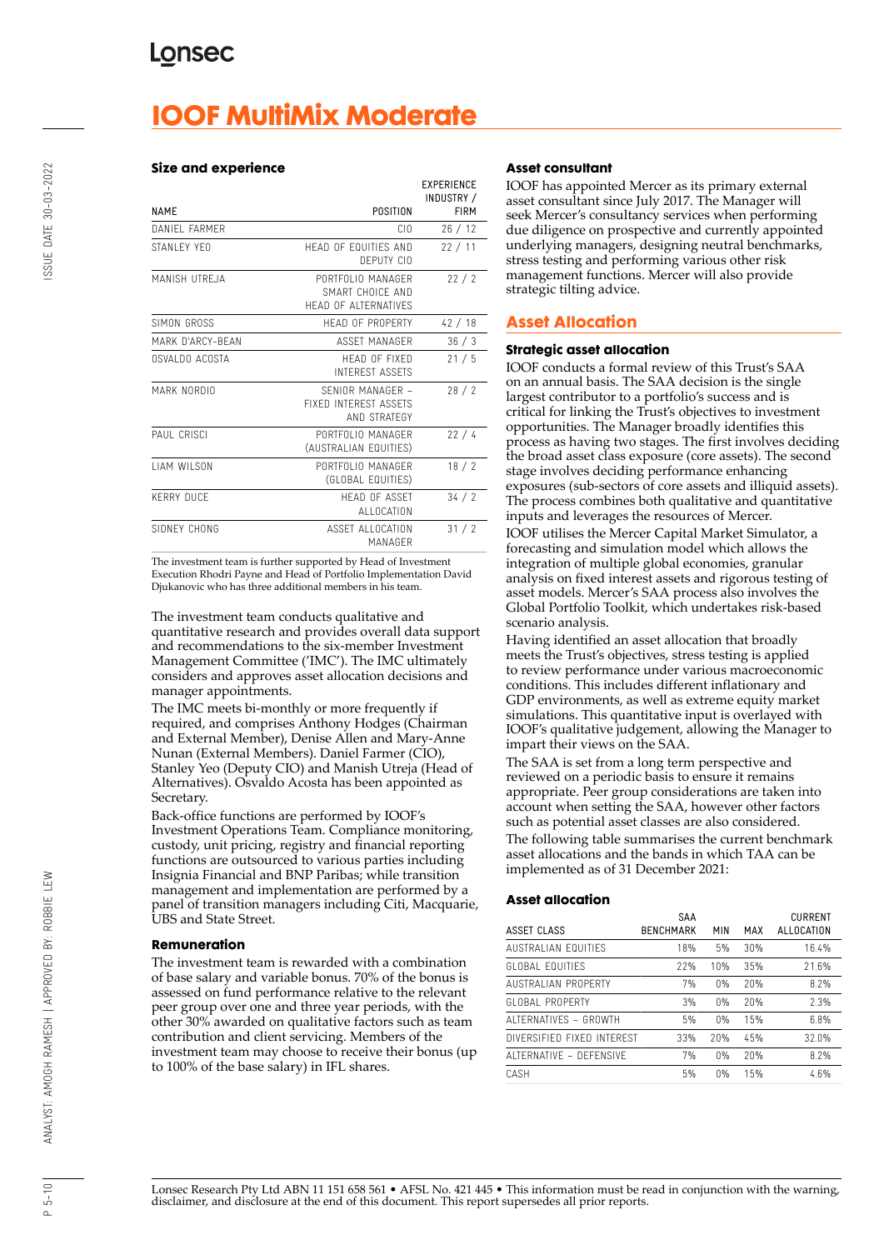## **IOOF MultiMix Moderate**

#### **Size and experience**

|                     |                                                               | <b>EXPERIENCE</b><br>INDUSTRY / |
|---------------------|---------------------------------------------------------------|---------------------------------|
| <b>NAMF</b>         | POSITION                                                      | <b>FIRM</b>                     |
| DANIFI FARMER       | CIO                                                           | 26/12                           |
| STANLEY YEO         | HEAD OF EQUITIES AND<br>DEPUTY CIO                            | 22/11                           |
| MANISH UTREJA       | PORTFOLIO MANAGER<br>SMART CHOICF AND<br>HEAD OF ALTERNATIVES | 22/2                            |
| SIMON GROSS         | HEAD OF PROPERTY                                              | 42/18                           |
| MARK D'ARCY-BFAN    | ASSFT MANAGER                                                 | 36/3                            |
| OSVALDO ACOSTA      | HEAD OF FIXED<br><b>INTEREST ASSETS</b>                       | 21/5                            |
| MARK NORDIO         | SENIOR MANAGER -<br>FIXED INTEREST ASSETS<br>AND STRATEGY     | 28/2                            |
| PAUL CRISCI         | PORTFOLIO MANAGER<br>(AUSTRALIAN EQUITIES)                    | 22/4                            |
| <b>I IAM WILSON</b> | PORTFOLIO MANAGER<br>(GLOBAL EQUITIES)                        | 18/2                            |
| <b>KERRY DUCF</b>   | <b>HFAD OF ASSFT</b><br><b>ALLOCATION</b>                     | 34/2                            |
| SIDNEY CHONG        | ASSET ALLOCATION<br>MANAGFR                                   | 31/2                            |

The investment team is further supported by Head of Investment Execution Rhodri Payne and Head of Portfolio Implementation David Djukanovic who has three additional members in his team.

The investment team conducts qualitative and quantitative research and provides overall data support and recommendations to the six-member Investment Management Committee ('IMC'). The IMC ultimately considers and approves asset allocation decisions and manager appointments.

The IMC meets bi-monthly or more frequently if required, and comprises Anthony Hodges (Chairman and External Member), Denise Allen and Mary-Anne Nunan (External Members). Daniel Farmer (CIO), Stanley Yeo (Deputy CIO) and Manish Utreja (Head of Alternatives). Osvaldo Acosta has been appointed as Secretary.

Back-office functions are performed by IOOF's Investment Operations Team. Compliance monitoring, custody, unit pricing, registry and financial reporting functions are outsourced to various parties including Insignia Financial and BNP Paribas; while transition management and implementation are performed by a panel of transition managers including Citi, Macquarie, UBS and State Street.

#### **Remuneration**

The investment team is rewarded with a combination of base salary and variable bonus. 70% of the bonus is assessed on fund performance relative to the relevant peer group over one and three year periods, with the other 30% awarded on qualitative factors such as team contribution and client servicing. Members of the investment team may choose to receive their bonus (up to 100% of the base salary) in IFL shares.

#### **Asset consultant**

IOOF has appointed Mercer as its primary external asset consultant since July 2017. The Manager will seek Mercer's consultancy services when performing due diligence on prospective and currently appointed underlying managers, designing neutral benchmarks, stress testing and performing various other risk management functions. Mercer will also provide strategic tilting advice.

## **Asset Allocation**

#### **Strategic asset allocation**

IOOF conducts a formal review of this Trust's SAA on an annual basis. The SAA decision is the single largest contributor to a portfolio's success and is critical for linking the Trust's objectives to investment opportunities. The Manager broadly identifies this process as having two stages. The first involves deciding the broad asset class exposure (core assets). The second stage involves deciding performance enhancing exposures (sub-sectors of core assets and illiquid assets). The process combines both qualitative and quantitative inputs and leverages the resources of Mercer.

IOOF utilises the Mercer Capital Market Simulator, a forecasting and simulation model which allows the integration of multiple global economies, granular analysis on fixed interest assets and rigorous testing of asset models. Mercer's SAA process also involves the Global Portfolio Toolkit, which undertakes risk-based scenario analysis.

Having identified an asset allocation that broadly meets the Trust's objectives, stress testing is applied to review performance under various macroeconomic conditions. This includes different inflationary and GDP environments, as well as extreme equity market simulations. This quantitative input is overlayed with IOOF's qualitative judgement, allowing the Manager to impart their views on the SAA.

The SAA is set from a long term perspective and reviewed on a periodic basis to ensure it remains appropriate. Peer group considerations are taken into account when setting the SAA, however other factors such as potential asset classes are also considered. The following table summarises the current benchmark asset allocations and the bands in which TAA can be

implemented as of 31 December 2021:

#### **Asset allocation**

| ASSET CLASS                | SAA<br><b>BENCHMARK</b> | MIN | MAX | <b>CURRENT</b><br>ALLOCATION |
|----------------------------|-------------------------|-----|-----|------------------------------|
|                            |                         |     |     |                              |
| AUSTRALIAN FOUITIFS        | 18%                     | 5%  | 30% | 16.4%                        |
| GLOBAL FOUITIES            | 22%                     | 10% | 35% | 21.6%                        |
| <b>AUSTRALIAN PROPERTY</b> | 7%                      | 0%  | 20% | 8.2%                         |
| GLOBAL PROPERTY            | 3%                      | 0%  | 20% | 2.3%                         |
| ALTERNATIVES - GROWTH      | 5%                      | 0%  | 15% | 6.8%                         |
| DIVERSIFIED FIXED INTEREST | 33%                     | 20% | 45% | 32.0%                        |
| ALTERNATIVE - DEFENSIVE    | 7%                      | 0%  | 20% | 8.2%                         |
| CASH                       | 5%                      | 0%  | 15% | 4.6%                         |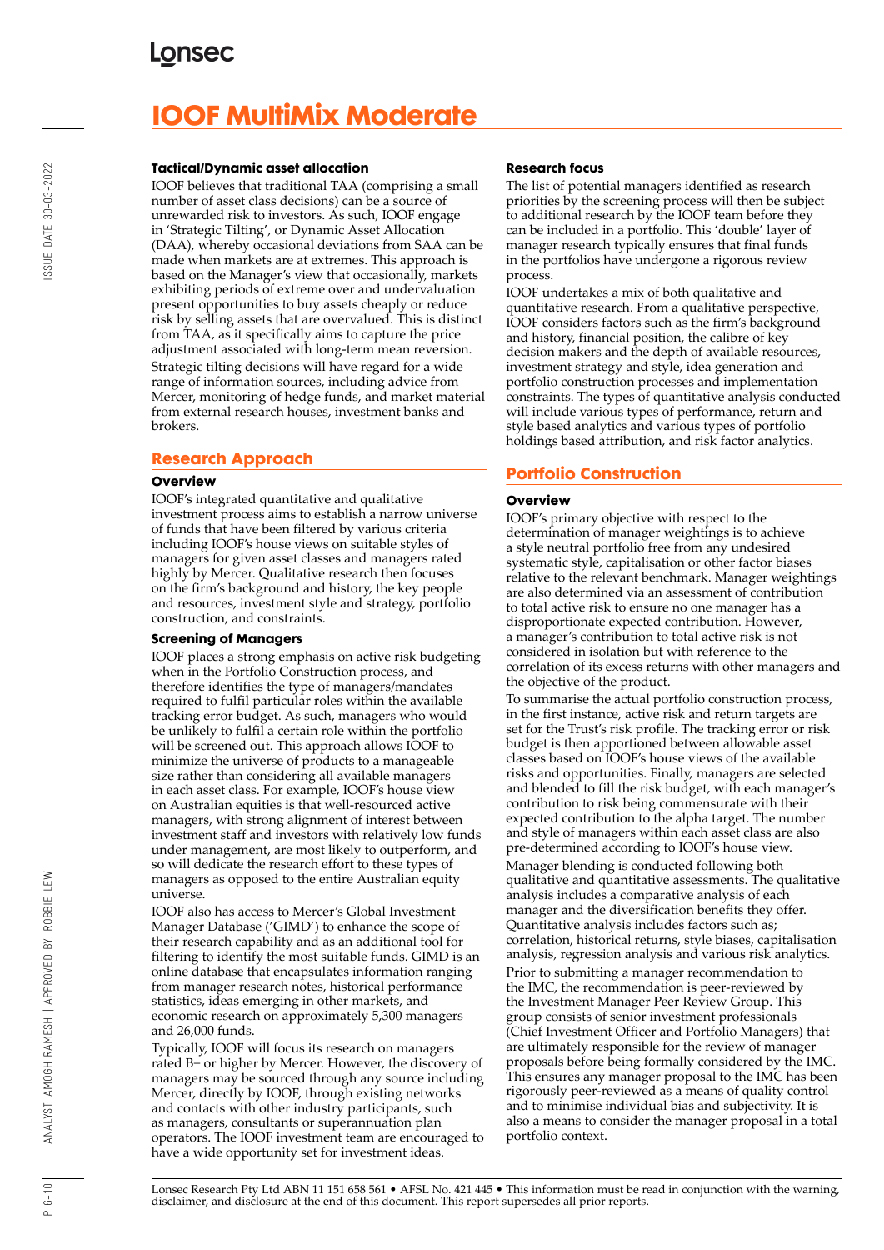# **IOOF MultiMix Moderate**

#### **Tactical/Dynamic asset allocation**

IOOF believes that traditional TAA (comprising a small number of asset class decisions) can be a source of unrewarded risk to investors. As such, IOOF engage in 'Strategic Tilting', or Dynamic Asset Allocation (DAA), whereby occasional deviations from SAA can be made when markets are at extremes. This approach is based on the Manager's view that occasionally, markets exhibiting periods of extreme over and undervaluation present opportunities to buy assets cheaply or reduce risk by selling assets that are overvalued. This is distinct from TAA, as it specifically aims to capture the price adjustment associated with long-term mean reversion. Strategic tilting decisions will have regard for a wide range of information sources, including advice from Mercer, monitoring of hedge funds, and market material from external research houses, investment banks and brokers.

## **Research Approach**

#### **Overview**

IOOF's integrated quantitative and qualitative investment process aims to establish a narrow universe of funds that have been filtered by various criteria including IOOF's house views on suitable styles of managers for given asset classes and managers rated highly by Mercer. Qualitative research then focuses on the firm's background and history, the key people and resources, investment style and strategy, portfolio construction, and constraints.

#### **Screening of Managers**

IOOF places a strong emphasis on active risk budgeting when in the Portfolio Construction process, and therefore identifies the type of managers/mandates required to fulfil particular roles within the available tracking error budget. As such, managers who would be unlikely to fulfil a certain role within the portfolio will be screened out. This approach allows IOOF to minimize the universe of products to a manageable size rather than considering all available managers in each asset class. For example, IOOF's house view on Australian equities is that well-resourced active managers, with strong alignment of interest between investment staff and investors with relatively low funds under management, are most likely to outperform, and so will dedicate the research effort to these types of managers as opposed to the entire Australian equity universe.

IOOF also has access to Mercer's Global Investment Manager Database ('GIMD') to enhance the scope of their research capability and as an additional tool for filtering to identify the most suitable funds. GIMD is an online database that encapsulates information ranging from manager research notes, historical performance statistics, ideas emerging in other markets, and economic research on approximately 5,300 managers and 26,000 funds.

Typically, IOOF will focus its research on managers rated B+ or higher by Mercer. However, the discovery of managers may be sourced through any source including Mercer, directly by IOOF, through existing networks and contacts with other industry participants, such as managers, consultants or superannuation plan operators. The IOOF investment team are encouraged to have a wide opportunity set for investment ideas.

#### **Research focus**

The list of potential managers identified as research priorities by the screening process will then be subject to additional research by the IOOF team before they can be included in a portfolio. This 'double' layer of manager research typically ensures that final funds in the portfolios have undergone a rigorous review process.

IOOF undertakes a mix of both qualitative and quantitative research. From a qualitative perspective, IOOF considers factors such as the firm's background and history, financial position, the calibre of key decision makers and the depth of available resources, investment strategy and style, idea generation and portfolio construction processes and implementation constraints. The types of quantitative analysis conducted will include various types of performance, return and style based analytics and various types of portfolio holdings based attribution, and risk factor analytics.

## **Portfolio Construction**

#### **Overview**

IOOF's primary objective with respect to the determination of manager weightings is to achieve a style neutral portfolio free from any undesired systematic style, capitalisation or other factor biases relative to the relevant benchmark. Manager weightings are also determined via an assessment of contribution to total active risk to ensure no one manager has a disproportionate expected contribution. However, a manager's contribution to total active risk is not considered in isolation but with reference to the correlation of its excess returns with other managers and the objective of the product.

To summarise the actual portfolio construction process, in the first instance, active risk and return targets are set for the Trust's risk profile. The tracking error or risk budget is then apportioned between allowable asset classes based on IOOF's house views of the available risks and opportunities. Finally, managers are selected and blended to fill the risk budget, with each manager's contribution to risk being commensurate with their expected contribution to the alpha target. The number and style of managers within each asset class are also pre-determined according to IOOF's house view. Manager blending is conducted following both qualitative and quantitative assessments. The qualitative analysis includes a comparative analysis of each manager and the diversification benefits they offer. Quantitative analysis includes factors such as; correlation, historical returns, style biases, capitalisation analysis, regression analysis and various risk analytics. Prior to submitting a manager recommendation to the IMC, the recommendation is peer-reviewed by the Investment Manager Peer Review Group. This group consists of senior investment professionals (Chief Investment Officer and Portfolio Managers) that are ultimately responsible for the review of manager proposals before being formally considered by the IMC. This ensures any manager proposal to the IMC has been rigorously peer-reviewed as a means of quality control and to minimise individual bias and subjectivity. It is also a means to consider the manager proposal in a total portfolio context.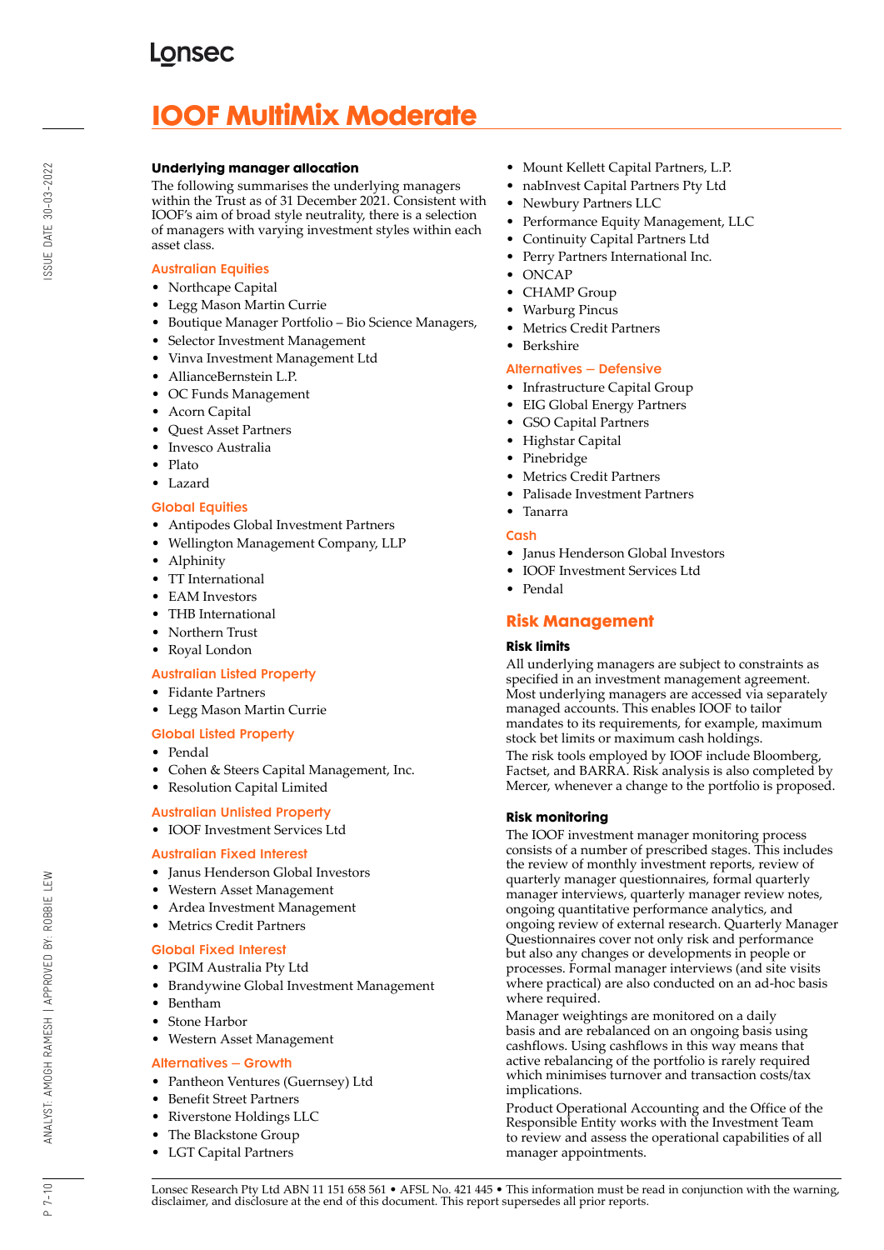# **IOOF MultiMix Moderate**

### **Underlying manager allocation**

The following summarises the underlying managers within the Trust as of 31 December 2021. Consistent with IOOF's aim of broad style neutrality, there is a selection of managers with varying investment styles within each asset class.

## Australian Equities

- Northcape Capital
- Legg Mason Martin Currie
- Boutique Manager Portfolio Bio Science Managers,
- Selector Investment Management
- Vinva Investment Management Ltd
- AllianceBernstein L.P.
- OC Funds Management
- Acorn Capital
- Quest Asset Partners
- Invesco Australia
- Plato
- Lazard

### Global Equities

- Antipodes Global Investment Partners
- Wellington Management Company, LLP
- Alphinity
- TT International
- EAM Investors
- THB International
- Northern Trust
- Royal London

#### Australian Listed Property

- Fidante Partners
- Legg Mason Martin Currie

## Global Listed Property

- Pendal
- Cohen & Steers Capital Management, Inc.
- Resolution Capital Limited

## Australian Unlisted Property

• IOOF Investment Services Ltd

#### Australian Fixed Interest

- Janus Henderson Global Investors
- Western Asset Management
- Ardea Investment Management
- Metrics Credit Partners

#### Global Fixed Interest

- PGIM Australia Pty Ltd
- Brandywine Global Investment Management
- Bentham
- Stone Harbor
- Western Asset Management

## Alternatives – Growth

- Pantheon Ventures (Guernsey) Ltd
- Benefit Street Partners
- Riverstone Holdings LLC
- The Blackstone Group
- LGT Capital Partners
- Mount Kellett Capital Partners, L.P.
- nabInvest Capital Partners Pty Ltd
- Newbury Partners LLC
- Performance Equity Management, LLC
- Continuity Capital Partners Ltd
- Perry Partners International Inc.
- ONCAP
- CHAMP Group
- Warburg Pincus
- Metrics Credit Partners
- **Berkshire**

### Alternatives – Defensive

- Infrastructure Capital Group
- EIG Global Energy Partners
- GSO Capital Partners
- Highstar Capital
- Pinebridge
- Metrics Credit Partners
- Palisade Investment Partners
- Tanarra

### Cash

- Janus Henderson Global Investors
- IOOF Investment Services Ltd
- Pendal

## **Risk Management**

#### **Risk limits**

All underlying managers are subject to constraints as specified in an investment management agreement. Most underlying managers are accessed via separately managed accounts. This enables IOOF to tailor mandates to its requirements, for example, maximum stock bet limits or maximum cash holdings.

The risk tools employed by IOOF include Bloomberg, Factset, and BARRA. Risk analysis is also completed by Mercer, whenever a change to the portfolio is proposed.

## **Risk monitoring**

The IOOF investment manager monitoring process consists of a number of prescribed stages. This includes the review of monthly investment reports, review of quarterly manager questionnaires, formal quarterly manager interviews, quarterly manager review notes, ongoing quantitative performance analytics, and ongoing review of external research. Quarterly Manager Questionnaires cover not only risk and performance but also any changes or developments in people or processes. Formal manager interviews (and site visits where practical) are also conducted on an ad-hoc basis where required.

Manager weightings are monitored on a daily basis and are rebalanced on an ongoing basis using cashflows. Using cashflows in this way means that active rebalancing of the portfolio is rarely required which minimises turnover and transaction costs/tax implications.

Product Operational Accounting and the Office of the Responsible Entity works with the Investment Team to review and assess the operational capabilities of all manager appointments.

 $P 7 - 10$ 

ANALYST: AMOGH RAMESH | APPROVED BY: ROBBIE LEW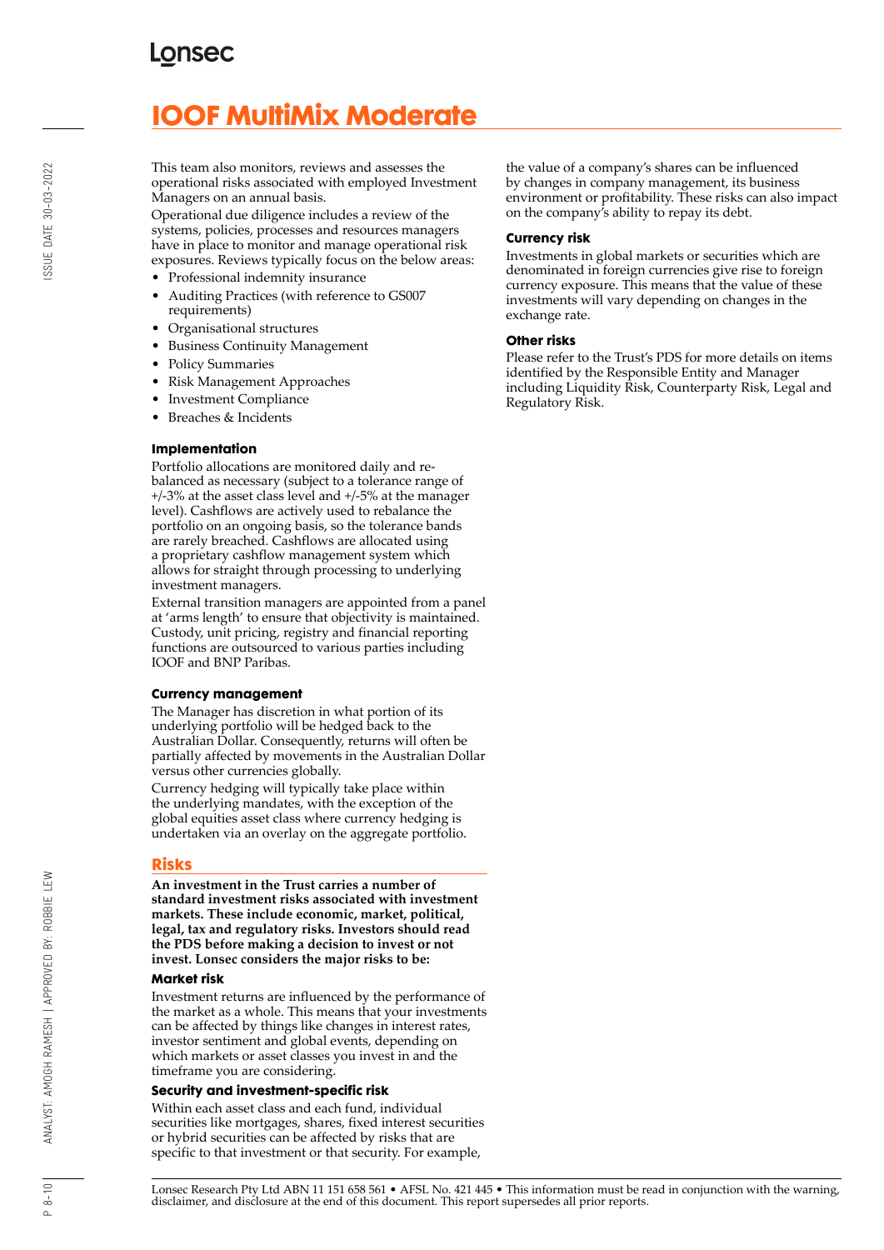## **LONSEC**

## **IOOF MultiMix Moderate**

This team also monitors, reviews and assesses the operational risks associated with employed Investment Managers on an annual basis.

Operational due diligence includes a review of the systems, policies, processes and resources managers have in place to monitor and manage operational risk exposures. Reviews typically focus on the below areas:

- Professional indemnity insurance
- Auditing Practices (with reference to GS007 requirements)
- Organisational structures
- Business Continuity Management
- Policy Summaries
- Risk Management Approaches
- Investment Compliance
- Breaches & Incidents

#### **Implementation**

Portfolio allocations are monitored daily and rebalanced as necessary (subject to a tolerance range of +/-3% at the asset class level and +/-5% at the manager level). Cashflows are actively used to rebalance the portfolio on an ongoing basis, so the tolerance bands are rarely breached. Cashflows are allocated using a proprietary cashflow management system which allows for straight through processing to underlying investment managers.

External transition managers are appointed from a panel at 'arms length' to ensure that objectivity is maintained. Custody, unit pricing, registry and financial reporting functions are outsourced to various parties including IOOF and BNP Paribas.

#### **Currency management**

The Manager has discretion in what portion of its underlying portfolio will be hedged back to the Australian Dollar. Consequently, returns will often be partially affected by movements in the Australian Dollar versus other currencies globally.

Currency hedging will typically take place within the underlying mandates, with the exception of the global equities asset class where currency hedging is undertaken via an overlay on the aggregate portfolio.

#### **Risks**

**An investment in the Trust carries a number of standard investment risks associated with investment markets. These include economic, market, political, legal, tax and regulatory risks. Investors should read the PDS before making a decision to invest or not invest. Lonsec considers the major risks to be:**

#### **Market risk**

Investment returns are influenced by the performance of the market as a whole. This means that your investments can be affected by things like changes in interest rates, investor sentiment and global events, depending on which markets or asset classes you invest in and the timeframe you are considering.

#### **Security and investment-specific risk**

Within each asset class and each fund, individual securities like mortgages, shares, fixed interest securities or hybrid securities can be affected by risks that are specific to that investment or that security. For example,

the value of a company's shares can be influenced by changes in company management, its business environment or profitability. These risks can also impact on the company's ability to repay its debt.

#### **Currency risk**

Investments in global markets or securities which are denominated in foreign currencies give rise to foreign currency exposure. This means that the value of these investments will vary depending on changes in the exchange rate.

#### **Other risks**

Please refer to the Trust's PDS for more details on items identified by the Responsible Entity and Manager including Liquidity Risk, Counterparty Risk, Legal and Regulatory Risk.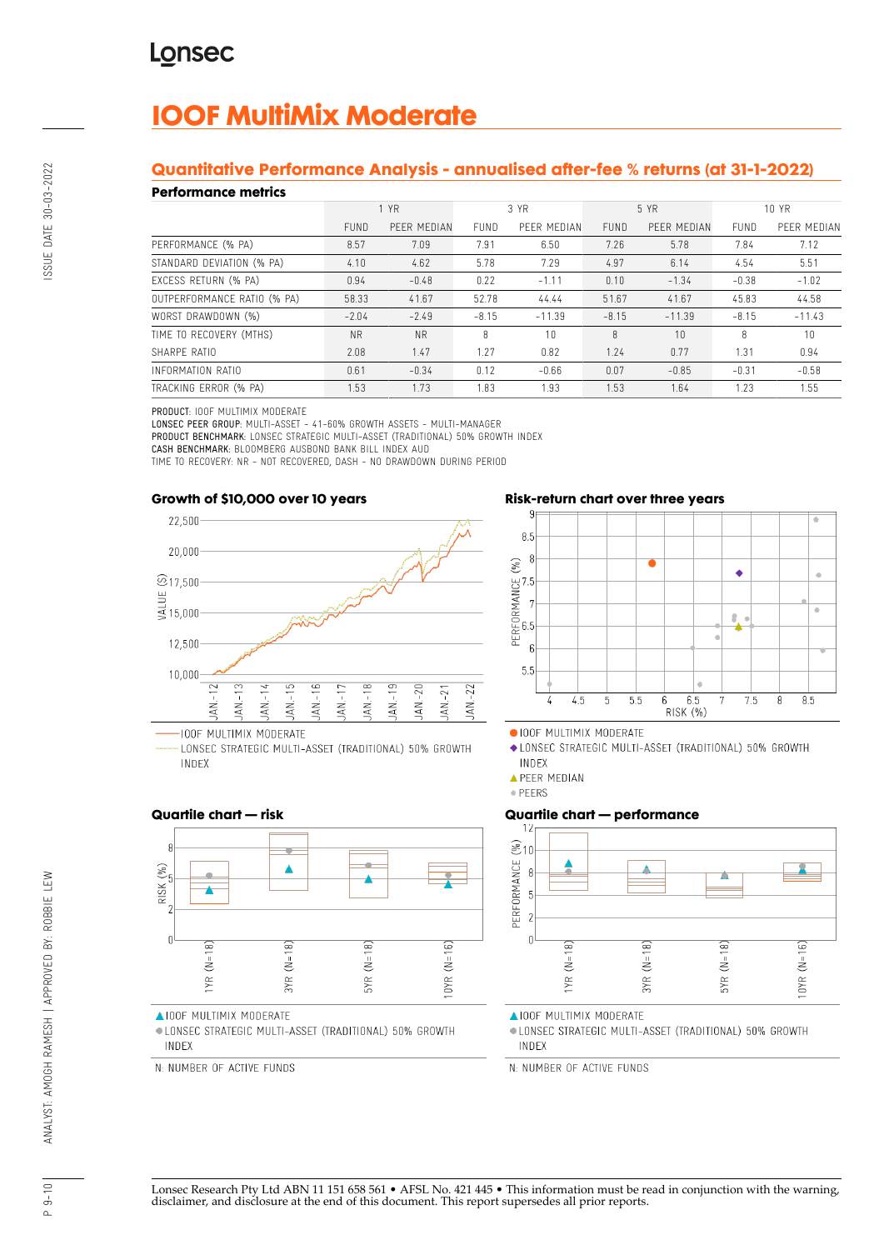# **IOOF MultiMix Moderate**

## **Quantitative Performance Analysis - annualised after-fee % returns (at 31-1-2022)**

### **Performance metrics**

| נטוושוועט ווערוויטוו        |             |             |             |             |             |             |         |             |
|-----------------------------|-------------|-------------|-------------|-------------|-------------|-------------|---------|-------------|
|                             | 1 YR        |             | 3 YR        |             | 5 YR        |             | 10 YR   |             |
|                             | <b>FUND</b> | PEER MEDIAN | <b>FUND</b> | PEER MEDIAN | <b>FUND</b> | PEER MEDIAN | FUND    | PEER MEDIAN |
| PERFORMANCE (% PA)          | 8.57        | 7.09        | 7.91        | 6.50        | 7.26        | 5.78        | 7.84    | 7.12        |
| STANDARD DEVIATION (% PA)   | 4.10        | 4.62        | 5.78        | 7.29        | 4.97        | 6.14        | 4.54    | 5.51        |
| EXCESS RETURN (% PA)        | 0.94        | $-0.48$     | 0.22        | $-1.11$     | 0.10        | $-1.34$     | $-0.38$ | $-1.02$     |
| OUTPERFORMANCE RATIO (% PA) | 58.33       | 41.67       | 52.78       | 44.44       | 51.67       | 41.67       | 45.83   | 44.58       |
| WORST DRAWDOWN (%)          | $-2.04$     | $-2.49$     | $-8.15$     | $-11.39$    | $-8.15$     | $-11.39$    | $-8.15$ | $-11.43$    |
| TIME TO RECOVERY (MTHS)     | <b>NR</b>   | <b>NR</b>   | 8           | 10          | 8           | 10          | 8       | 10          |
| SHARPE RATIO                | 2.08        | 1.47        | 1.27        | 0.82        | 1.24        | 0.77        | 1.31    | 0.94        |
| INFORMATION RATIO           | 0.61        | $-0.34$     | 0.12        | $-0.66$     | 0.07        | $-0.85$     | $-0.31$ | $-0.58$     |
| TRACKING ERROR (% PA)       | 1.53        | 1.73        | 1.83        | 1.93        | 1.53        | 1.64        | 1.23    | 1.55        |

PRODUCT: IOOF MULTIMIX MODERATE

LONSEC PEER GROUP: MULTI-ASSET - 41-60% GROWTH ASSETS - MULTI-MANAGER PRODUCT BENCHMARK: LONSEC STRATEGIC MULTI-ASSET (TRADITIONAL) 50% GROWTH INDEX

CASH BENCHMARK: BLOOMBERG AUSBOND BANK BILL INDEX AUD

TIME TO RECOVERY: NR - NOT RECOVERED, DASH - NO DRAWDOWN DURING PERIOD





LONSEC STRATEGIC MULTI-ASSET (TRADITIONAL) 50% GROWTH INDEX

## **Risk-return chart over three years**



· IOOF MULTIMIX MODERATE

◆ LONSEC STRATEGIC MULTI-ASSET (TRADITIONAL) 50% GROWTH INDEX

**APEER MEDIAN** 

· PEERS

## **Quartile chart — performance**



**AIOOF MULTIMIX MODERATE** 

· LONSEC STRATEGIC MULTI-ASSET (TRADITIONAL) 50% GROWTH INDEX

N: NUMBER OF ACTIVE FUNDS

## **Quartile chart — risk**



**AIOOF MULTIMIX MODERATE** 

· LONSEC STRATEGIC MULTI-ASSET (TRADITIONAL) 50% GROWTH INDEX

N: NUMBER OF ACTIVE FUNDS